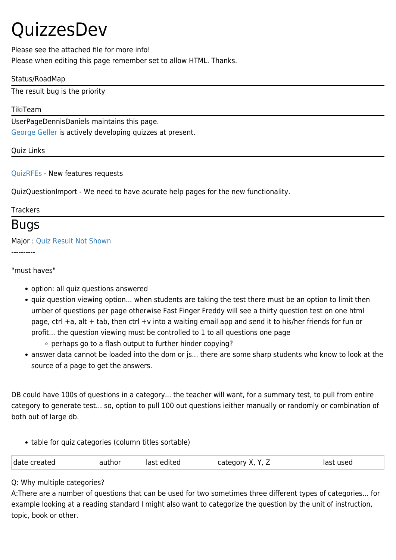# QuizzesDev

Please see the attached file for more info! Please when editing this page remember set to allow HTML. Thanks.

#### Status/RoadMap

The result bug is the priority

#### TikiTeam

UserPageDennisDaniels maintains this page.

[George Geller](https://tiki.org/UserPagegeorge.geller) is actively developing quizzes at present.

Quiz Links

[QuizRFEs](https://tiki.org/QuizRFEs) - New features requests

QuizQuestionImport - We need to have acurate help pages for the new functionality.

#### **Trackers**

### Bugs

#### Major : [Quiz Result Not Shown](http://sourceforge.net/tracker/?group_id=64258&atid=506846&func=detail&aid=787208)

----------

"must haves"

- option: all quiz questions answered
- quiz question viewing option... when students are taking the test there must be an option to limit then umber of questions per page otherwise Fast Finger Freddy will see a thirty question test on one html page, ctrl +a, alt + tab, then ctrl +v into a waiting email app and send it to his/her friends for fun or profit... the question viewing must be controlled to 1 to all questions one page
	- o perhaps go to a flash output to further hinder copying?
- answer data cannot be loaded into the dom or js... there are some sharp students who know to look at the source of a page to get the answers.

DB could have 100s of questions in a category... the teacher will want, for a summary test, to pull from entire category to generate test... so, option to pull 100 out questions ieither manually or randomly or combination of both out of large db.

• table for quiz categories (column titles sortable)

| date created<br>autnor<br>. | last edited | category.<br>$\mathbf{v}$<br>Δ.<br>— | st used<br>ורחו |
|-----------------------------|-------------|--------------------------------------|-----------------|
|-----------------------------|-------------|--------------------------------------|-----------------|

Q: Why multiple categories?

A:There are a number of questions that can be used for two sometimes three different types of categories... for example looking at a reading standard I might also want to categorize the question by the unit of instruction, topic, book or other.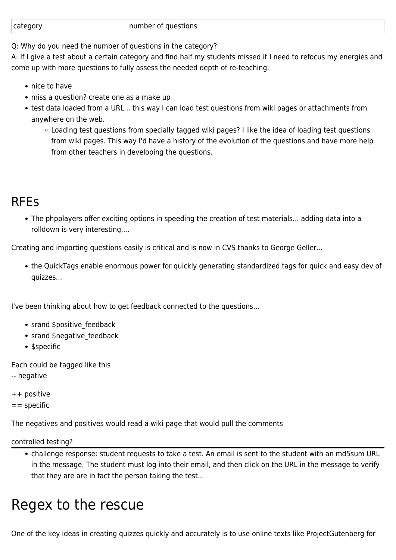#### number of questions

Q: Why do you need the number of questions in the category?

A: If I give a test about a certain category and find half my students missed it I need to refocus my energies and come up with more questions to fully assess the needed depth of re-teaching.

- nice to have
- miss a question? create one as a make up
- test data loaded from a URL... this way I can load test questions from wiki pages or attachments from anywhere on the web.
	- Loading test questions from specially tagged wiki pages? I like the idea of loading test questions from wiki pages. This way I'd have a history of the evolution of the questions and have more help from other teachers in developing the questions.

## RFEs

The phpplayers offer exciting options in speeding the creation of test materials... adding data into a rolldown is very interesting....

Creating and importing questions easily is critical and is now in CVS thanks to George Geller...

the QuickTags enable enormous power for quickly generating standardized tags for quick and easy dev of quizzes...

I've been thinking about how to get feedback connected to the questions...

- srand \$positive feedback
- srand \$negative feedback
- \$specific

Each could be tagged like this

- -- negative
- ++ positive
- $=$  specific

The negatives and positives would read a wiki page that would pull the comments

controlled testing?

challenge response: student requests to take a test. An email is sent to the student with an md5sum URL in the message. The student must log into their email, and then click on the URL in the message to verify that they are are in fact the person taking the test...

## Regex to the rescue

One of the key ideas in creating quizzes quickly and accurately is to use online texts like ProjectGutenberg for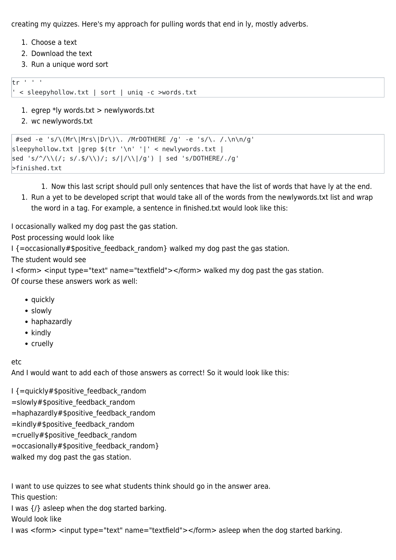creating my quizzes. Here's my approach for pulling words that end in ly, mostly adverbs.

- 1. Choose a text
- 2. Download the text
- 3. Run a unique word sort

#### $tr<sup>1</sup>$  ' '

' < sleepyhollow.txt | sort | uniq -c >words.txt

- 1. egrep  $*$ ly words.txt > newlywords.txt
- 2. wc newlywords.txt

```
 #sed -e 's/\(Mr\|Mrs\|Dr\)\. /MrDOTHERE /g' -e 's/\. /.\n\n/g'
sleepyhollow.txt |grep $(tr '\n' '|' < newlywords.txt |
sed 's/^/\\(/; s/.$/\\)/; s/|/\\|/g') | sed 's/DOTHERE/./g'
>finished.txt
```
1. Now this last script should pull only sentences that have the list of words that have ly at the end.

1. Run a yet to be developed script that would take all of the words from the newlywords.txt list and wrap the word in a tag. For example, a sentence in finished.txt would look like this:

I occasionally walked my dog past the gas station.

Post processing would look like

I {=occasionally#\$positive\_feedback\_random} walked my dog past the gas station.

The student would see

I <form> <input type="text" name="textfield"></form> walked my dog past the gas station. Of course these answers work as well:

- quickly
- slowly
- haphazardly
- kindly
- cruelly

#### etc

And I would want to add each of those answers as correct! So it would look like this:

- I {=quickly#\$positive feedback random
- =slowly#\$positive\_feedback\_random
- =haphazardly#\$positive\_feedback\_random
- =kindly#\$positive\_feedback\_random
- =cruelly#\$positive\_feedback\_random
- =occasionally#\$positive\_feedback\_random}

walked my dog past the gas station.

I want to use quizzes to see what students think should go in the answer area.

This question:

I was {/} asleep when the dog started barking.

Would look like

I was <form> <input type="text" name="textfield"></form> asleep when the dog started barking.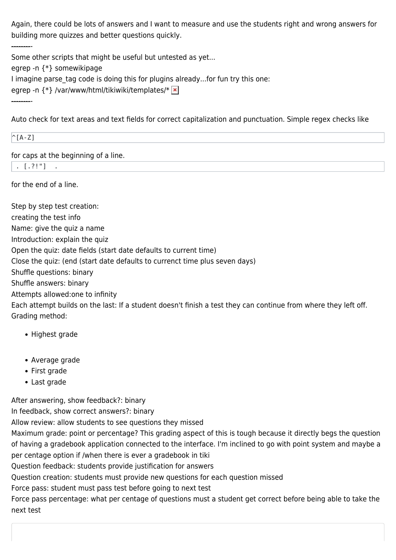Again, there could be lots of answers and I want to measure and use the students right and wrong answers for building more quizzes and better questions quickly.

Some other scripts that might be useful but untested as yet... egrep -n {\*} somewikipage I imagine parse tag code is doing this for plugins already...for fun try this one: egrep -n {\*} /var/www/html/tikiwiki/templates/\*  $\times$ ---------

Auto check for text areas and text fields for correct capitalization and punctuation. Simple regex checks like

 $\wedge$ [A-Z]

for caps at the beginning of a line.

 $\therefore$  [.?!"]

---------

for the end of a line.

Step by step test creation:

creating the test info

Name: give the quiz a name

Introduction: explain the quiz

Open the quiz: date fields (start date defaults to current time)

Close the quiz: (end (start date defaults to currenct time plus seven days)

Shuffle questions: binary

Shuffle answers: binary

Attempts allowed:one to infinity

Each attempt builds on the last: If a student doesn't finish a test they can continue from where they left off. Grading method:

- Highest grade
- Average grade
- First grade
- Last grade

After answering, show feedback?: binary

In feedback, show correct answers?: binary

Allow review: allow students to see questions they missed

Maximum grade: point or percentage? This grading aspect of this is tough because it directly begs the question of having a gradebook application connected to the interface. I'm inclined to go with point system and maybe a per centage option if /when there is ever a gradebook in tiki

Question feedback: students provide justification for answers

Question creation: students must provide new questions for each question missed

Force pass: student must pass test before going to next test

Force pass percentage: what per centage of questions must a student get correct before being able to take the next test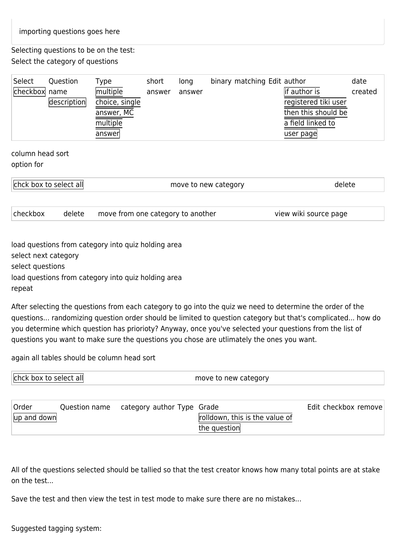Selecting questions to be on the test: Select the category of questions

| Select        | Question    | Type           | short  | long   | binary matching Edit author |                      | date    |
|---------------|-------------|----------------|--------|--------|-----------------------------|----------------------|---------|
| checkbox name |             | multiple       | answer | answer |                             | lif author is        | created |
|               | description | choice, single |        |        |                             | registered tiki user |         |
|               |             | answer, MC     |        |        |                             | then this should be  |         |
|               |             | multiple       |        |        |                             | a field linked to    |         |
|               |             | answer         |        |        |                             | user page            |         |

column head sort option for

| <b>Chick box to select all</b> | move to new category |  |
|--------------------------------|----------------------|--|
|                                |                      |  |

checkbox delete move from one category to another view wiki source page

load questions from category into quiz holding area select next category select questions load questions from category into quiz holding area

repeat

After selecting the questions from each category to go into the quiz we need to determine the order of the questions... randomizing question order should be limited to question category but that's complicated... how do you determine which question has priorioty? Anyway, once you've selected your questions from the list of questions you want to make sure the questions you chose are utlimately the ones you want.

again all tables should be column head sort

| lichck box to select all l | move to new category |
|----------------------------|----------------------|
|                            |                      |

| Order                             | Question name category author Type Grade |                                | Edit checkbox remove |
|-----------------------------------|------------------------------------------|--------------------------------|----------------------|
| $\vert \vert$ up and down $\vert$ |                                          | rolldown, this is the value of |                      |
|                                   |                                          | the question                   |                      |

All of the questions selected should be tallied so that the test creator knows how many total points are at stake on the test...

Save the test and then view the test in test mode to make sure there are no mistakes...

Suggested tagging system: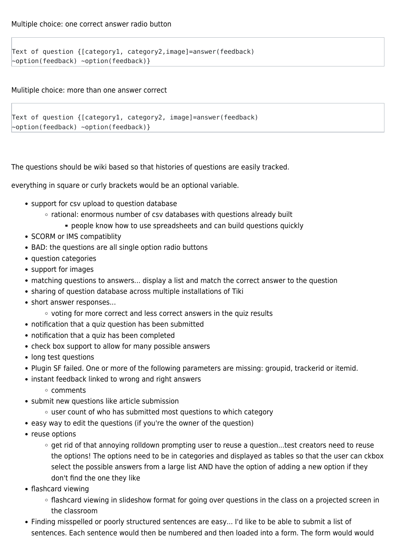Text of question {[category1, category2,image]=answer(feedback) ~option(feedback) ~option(feedback)}

Mulitiple choice: more than one answer correct

```
Text of question {[category1, category2, image]=answer(feedback)
~option(feedback) ~option(feedback)}
```
The questions should be wiki based so that histories of questions are easily tracked.

everything in square or curly brackets would be an optional variable.

- support for csv upload to question database
	- $\circ$  rational: enormous number of csv databases with questions already built
		- people know how to use spreadsheets and can build questions quickly
- SCORM or IMS compatiblity
- BAD: the questions are all single option radio buttons
- question categories
- support for images
- matching questions to answers... display a list and match the correct answer to the question
- sharing of question database across multiple installations of Tiki
- short answer responses...
	- voting for more correct and less correct answers in the quiz results
- notification that a quiz question has been submitted
- notification that a quiz has been completed
- check box support to allow for many possible answers
- long test questions
- Plugin SF failed. One or more of the following parameters are missing: groupid, trackerid or itemid.
- instant feedback linked to wrong and right answers
	- comments
- submit new questions like article submission
	- user count of who has submitted most questions to which category
- easy way to edit the questions (if you're the owner of the question)
- reuse options
	- $\circ$  get rid of that annoying rolldown prompting user to reuse a question...test creators need to reuse the options! The options need to be in categories and displayed as tables so that the user can ckbox select the possible answers from a large list AND have the option of adding a new option if they don't find the one they like
- flashcard viewing
	- $\circ$  flashcard viewing in slideshow format for going over questions in the class on a projected screen in the classroom
- Finding misspelled or poorly structured sentences are easy... I'd like to be able to submit a list of sentences. Each sentence would then be numbered and then loaded into a form. The form would would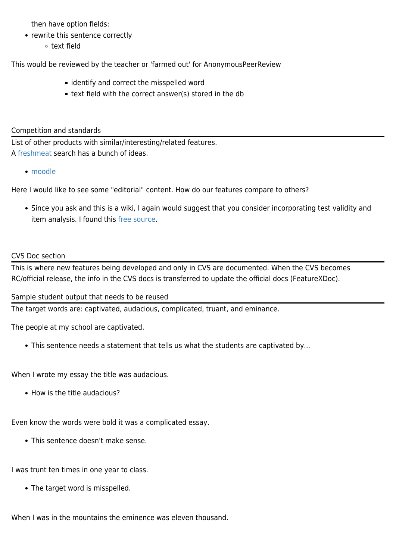then have option fields:

- rewrite this sentence correctly
	- text field

This would be reviewed by the teacher or 'farmed out' for AnonymousPeerReview

- **i** identify and correct the misspelled word
- text field with the correct answer(s) stored in the db

#### Competition and standards

List of other products with similar/interesting/related features. A [freshmeat](http://freshmeat.net/search/?q=php+quiz§ion=projects&x=0&y=0) search has a bunch of ideas.

• [moodle](http://moodle.org/download/modules/)

Here I would like to see some "editorial" content. How do our features compare to others?

Since you ask and this is a wiki, I again would suggest that you consider incorporating test validity and item analysis. I found this [free source.](http://bruce-landon.douglas.bc.ca/STRINGSCORE/index.html)

#### CVS Doc section

This is where new features being developed and only in CVS are documented. When the CVS becomes RC/official release, the info in the CVS docs is transferred to update the official docs (FeatureXDoc).

Sample student output that needs to be reused

The target words are: captivated, audacious, complicated, truant, and eminance.

The people at my school are captivated.

This sentence needs a statement that tells us what the students are captivated by...

When I wrote my essay the title was audacious.

• How is the title audacious?

Even know the words were bold it was a complicated essay.

This sentence doesn't make sense.

I was trunt ten times in one year to class.

• The target word is misspelled.

When I was in the mountains the eminence was eleven thousand.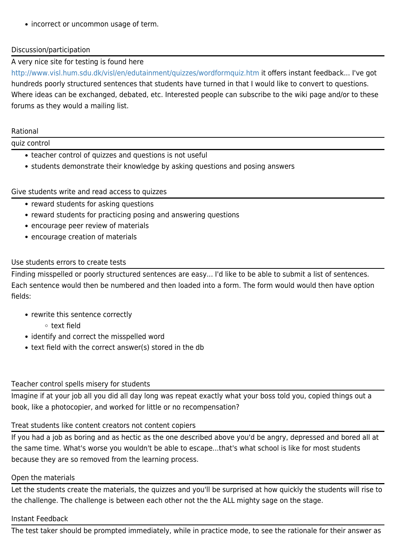• incorrect or uncommon usage of term.

#### Discussion/participation

#### A very nice site for testing is found here

<http://www.visl.hum.sdu.dk/visl/en/edutainment/quizzes/wordformquiz.htm>it offers instant feedback... I've got hundreds poorly structured sentences that students have turned in that I would like to convert to questions. Where ideas can be exchanged, debated, etc. Interested people can subscribe to the wiki page and/or to these forums as they would a mailing list.

#### Rational

#### quiz control

- teacher control of quizzes and questions is not useful
- students demonstrate their knowledge by asking questions and posing answers

#### Give students write and read access to quizzes

- reward students for asking questions
- reward students for practicing posing and answering questions
- encourage peer review of materials
- encourage creation of materials

#### Use students errors to create tests

Finding misspelled or poorly structured sentences are easy... I'd like to be able to submit a list of sentences. Each sentence would then be numbered and then loaded into a form. The form would would then have option fields:

- rewrite this sentence correctly
	- text field
- identify and correct the misspelled word
- text field with the correct answer(s) stored in the db

#### Teacher control spells misery for students

Imagine if at your job all you did all day long was repeat exactly what your boss told you, copied things out a book, like a photocopier, and worked for little or no recompensation?

#### Treat students like content creators not content copiers

If you had a job as boring and as hectic as the one described above you'd be angry, depressed and bored all at the same time. What's worse you wouldn't be able to escape...that's what school is like for most students because they are so removed from the learning process.

#### Open the materials

Let the students create the materials, the quizzes and you'll be surprised at how quickly the students will rise to the challenge. The challenge is between each other not the the ALL mighty sage on the stage.

#### Instant Feedback

The test taker should be prompted immediately, while in practice mode, to see the rationale for their answer as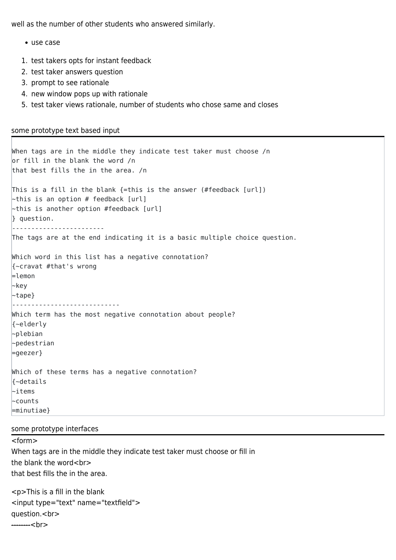well as the number of other students who answered similarly.

- use case
- 1. test takers opts for instant feedback
- 2. test taker answers question
- 3. prompt to see rationale
- 4. new window pops up with rationale
- 5. test taker views rationale, number of students who chose same and closes

#### some prototype text based input

```
When tags are in the middle they indicate test taker must choose /n
or fill in the blank the word /n
that best fills the in the area. /n
This is a fill in the blank {=this is the answer (#feedback [url])
\simthis is an option # feedback [url]
\simthis is another option #feedback [url]
} question.
------------------------
The tags are at the end indicating it is a basic multiple choice question.
Which word in this list has a negative connotation?
{~cravat #that's wrong
=lemon
~key
~tape}
----------------------------
Which term has the most negative connotation about people?
{~elderly
~plebian
~pedestrian
=geezer}
Which of these terms has a negative connotation?
{~details
~items
~counts
=minutiae}
```
#### some prototype interfaces

<form> When tags are in the middle they indicate test taker must choose or fill in the blank the word<br> that best fills the in the area.

<p>This is a fill in the blank <input type="text" name="textfield"> question.<br> --------<br>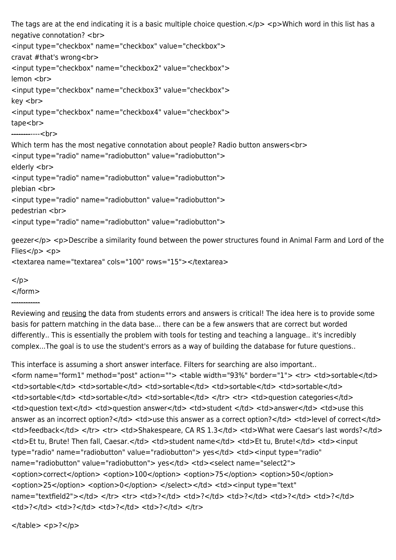```
The tags are at the end indicating it is a basic multiple choice question.</p> <p>Which word in this list has a
negative connotation? <br>
<input type="checkbox" name="checkbox" value="checkbox">
cravat #that's wrong<br>
<input type="checkbox" name="checkbox2" value="checkbox">
lemon <br>
<input type="checkbox" name="checkbox3" value="checkbox">
key <br>
<input type="checkbox" name="checkbox4" value="checkbox">
tape<br>
------------<br>
Which term has the most negative connotation about people? Radio button answers<br>
<input type="radio" name="radiobutton" value="radiobutton">
elderly <br>
<input type="radio" name="radiobutton" value="radiobutton">
plebian <br>
<input type="radio" name="radiobutton" value="radiobutton">
pedestrian <br>
<input type="radio" name="radiobutton" value="radiobutton">
geezer</p> <p>Describe a similarity found between the power structures found in Animal Farm and Lord of the
Flies</p><p>
```

```
<textarea name="textarea" cols="100" rows="15"></textarea>
```
 $<$ /p $>$ </form>

------------

Reviewing and reusing the data from students errors and answers is critical! The idea here is to provide some basis for pattern matching in the data base... there can be a few answers that are correct but worded differently.. This is essentially the problem with tools for testing and teaching a language.. it's incredibly complex...The goal is to use the student's errors as a way of building the database for future questions..

This interface is assuming a short answer interface. Filters for searching are also important.. <form name="form1" method="post" action=""> <table width="93%" border="1"> <tr> <td>sortable</td> <td>sortable</td> <td>sortable</td> <td>sortable</td> <td>sortable</td> <td>sortable</td> <td>sortable</td> <td>sortable</td> <td>sortable</td> </tr> <tr> <td>question categories</td> <td>question text</td> <td>question answer</td> <td>student </td> <td>answer</td> <td>use this answer as an incorrect option?</td> <td>use this answer as a correct option?</td> <td>level of correct</td> <td>feedback</td> </tr> <tr> <td>Shakespeare, CA RS 1.3</td> <td>What were Caesar's last words?</td> <td>Et tu, Brute! Then fall, Caesar.</td> <td>student name</td> <td>Et tu, Brute!</td> <td><input type="radio" name="radiobutton" value="radiobutton"> yes</td><td><input type="radio" name="radiobutton" value="radiobutton"> yes</td><td><select name="select2"> <option>correct</option> <option>100</option> <option>75</option> <option>50</option> <option>25</option><option>0</option></select></td><td></td><input type="text" name="textfield2"></td> </tr> <tr> <td>?</td> <td>?</td> <td>?</td> <td>?</td> <td>?</td>  $<$ td>? $<$ /td> $<$ td>? $<$ /td>? $<$ /td> $<$ dd>? $<$ /td> $<$ /td> $<$ /td> $<$ /td> $<$ /tr $>$ 

 $<$ /table $>$   $<$ p $>$ ? $<$ /p $>$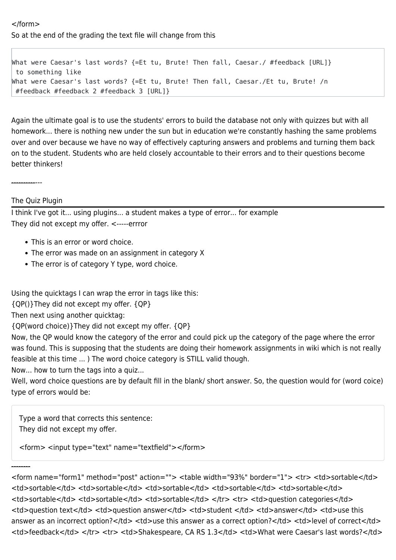#### </form> So at the end of the grading the text file will change from this

```
What were Caesar's last words? {=Et tu, Brute! Then fall, Caesar./ #feedback [URL]}
 to something like
What were Caesar's last words? {=Et tu, Brute! Then fall, Caesar./Et tu, Brute! /n
 #feedback #feedback 2 #feedback 3 [URL]}
```
Again the ultimate goal is to use the students' errors to build the database not only with quizzes but with all homework... there is nothing new under the sun but in education we're constantly hashing the same problems over and over because we have no way of effectively capturing answers and problems and turning them back on to the student. Students who are held closely accountable to their errors and to their questions become better thinkers!

-------------

The Quiz Plugin

I think I've got it... using plugins... a student makes a type of error... for example They did not except my offer. <-----errror

- This is an error or word choice.
- The error was made on an assignment in category X
- The error is of category Y type, word choice.

Using the quicktags I can wrap the error in tags like this:

{QP()}They did not except my offer. {QP}

#### Then next using another quicktag:

{QP(word choice)}They did not except my offer. {QP}

Now, the QP would know the category of the error and could pick up the category of the page where the error was found. This is supposing that the students are doing their homework assignments in wiki which is not really feasible at this time ... ) The word choice category is STILL valid though.

Now... how to turn the tags into a quiz...

Well, word choice questions are by default fill in the blank/ short answer. So, the question would for (word coice) type of errors would be:

Type a word that corrects this sentence: They did not except my offer.

<form> <input type="text" name="textfield"></form>

--------

<form name="form1" method="post" action=""> <table width="93%" border="1"> <tr> <td>sortable</td> <td>sortable</td> <td>sortable</td> <td>sortable</td> <td>sortable</td> <td>sortable</td> <td>sortable</td> <td>sortable</td> <td>sortable</td> </tr> <tr> <td>question categories</td> <td>question text</td> <td>question answer</td> <td>student </td> <td>answer</td> <td>use this answer as an incorrect option?</td><td>use this answer as a correct option?</td><td>level of correct</td> <td>feedback</td> </tr> <tr> <td>Shakespeare, CA RS 1.3</td> <td>What were Caesar's last words?</td>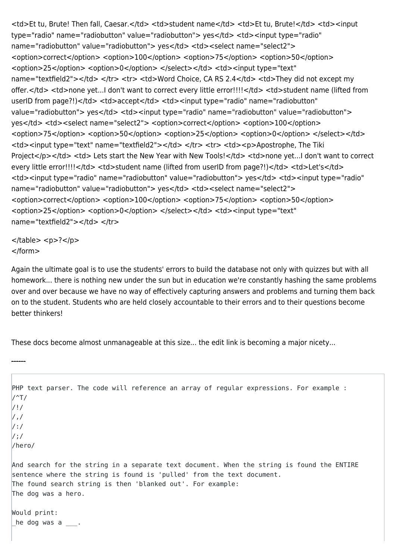<td>Et tu, Brute! Then fall, Caesar.</td> <td>student name</td> <td>Et tu, Brute!</td> <td><input type="radio" name="radiobutton" value="radiobutton"> yes</td><td><input type="radio" name="radiobutton" value="radiobutton"> yes</td><td><select name="select2"> <option>correct</option><option>100</option><option>75</option><option>50</option> <option>25</option> <option>0</option> </select></td><td><input type="text" name="textfield2"></td> </tr> <tr> <td>Word Choice, CA RS 2.4</td> <td>They did not except my offer.</td> <td>none yet...I don't want to correct every little error!!!!</td> <td>student name (lifted from userID from page?!)</td><td>accept</td><td><input type="radio" name="radiobutton" value="radiobutton"> yes</td> <td><input type="radio" name="radiobutton" value="radiobutton"> yes</td><td><select name="select2"><option>correct</option><option>100</option> <option>75</option> <option>50</option> <option>25</option> <option>0</option> </select></td> <td><input type="text" name="textfield2"></td></tr><tr><td><p>Apostrophe, The Tiki Project</p></td> <td> Lets start the New Year with New Tools!</td> <td>none yet...I don't want to correct every little error!!!!</td> <td>student name (lifted from userID from page?!)</td> <td>Let's</td> <td><input type="radio" name="radiobutton" value="radiobutton"> yes</td> <td><input type="radio" name="radiobutton" value="radiobutton"> yes</td><td><select name="select2"> <option>correct</option> <option>100</option> <option>75</option> <option>50</option> <option>25</option> <option>0</option> </select></td> <td><input type="text" name="textfield2"></td> </tr>

 $<$ /table>  $<$ p>? $<$ /p> </form>

Again the ultimate goal is to use the students' errors to build the database not only with quizzes but with all homework... there is nothing new under the sun but in education we're constantly hashing the same problems over and over because we have no way of effectively capturing answers and problems and turning them back on to the student. Students who are held closely accountable to their errors and to their questions become better thinkers!

These docs become almost unmanageable at this size... the edit link is becoming a major nicety...

```
------
PHP text parser. The code will reference an array of regular expressions. For example :
/<sup>\gamma</sup>T/
/!/
/,/
/:/
/;/
/hero/
And search for the string in a separate text document. When the string is found the ENTIRE
sentence where the string is found is 'pulled' from the text document.
The found search string is then 'blanked out'. For example:
The dog was a hero.
Would print:
he dog was a \_\_.
```